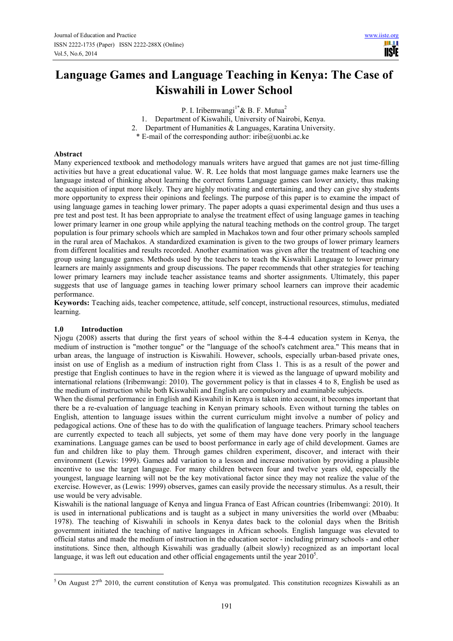**TISTE** 

# **Language Games and Language Teaching in Kenya: The Case of Kiswahili in Lower School**

P. I. Iribemwangi<sup>1\*</sup> & B. F. Mutua<sup>2</sup>

- 1. Department of Kiswahili, University of Nairobi, Kenya.
- 2. Department of Humanities & Languages, Karatina University.

 $*$  E-mail of the corresponding author: iribe@uonbi.ac.ke

## **Abstract**

Many experienced textbook and methodology manuals writers have argued that games are not just time-filling activities but have a great educational value. W. R. Lee holds that most language games make learners use the language instead of thinking about learning the correct forms Language games can lower anxiety, thus making the acquisition of input more likely. They are highly motivating and entertaining, and they can give shy students more opportunity to express their opinions and feelings. The purpose of this paper is to examine the impact of using language games in teaching lower primary. The paper adopts a quasi experimental design and thus uses a pre test and post test. It has been appropriate to analyse the treatment effect of using language games in teaching lower primary learner in one group while applying the natural teaching methods on the control group. The target population is four primary schools which are sampled in Machakos town and four other primary schools sampled in the rural area of Machakos. A standardized examination is given to the two groups of lower primary learners from different localities and results recorded. Another examination was given after the treatment of teaching one group using language games. Methods used by the teachers to teach the Kiswahili Language to lower primary learners are mainly assignments and group discussions. The paper recommends that other strategies for teaching lower primary learners may include teacher assistance teams and shorter assignments. Ultimately, this paper suggests that use of language games in teaching lower primary school learners can improve their academic performance.

**Keywords:** Teaching aids, teacher competence, attitude, self concept, instructional resources, stimulus, mediated learning.

# **1.0 Introduction**

 $\overline{a}$ 

Njogu (2008) asserts that during the first years of school within the 8-4-4 education system in Kenya, the medium of instruction is "mother tongue" or the "language of the school's catchment area." This means that in urban areas, the language of instruction is Kiswahili. However, schools, especially urban-based private ones, insist on use of English as a medium of instruction right from Class 1. This is as a result of the power and prestige that English continues to have in the region where it is viewed as the language of upward mobility and international relations (Iribemwangi: 2010). The government policy is that in classes 4 to 8, English be used as the medium of instruction while both Kiswahili and English are compulsory and examinable subjects.

When the dismal performance in English and Kiswahili in Kenya is taken into account, it becomes important that there be a re-evaluation of language teaching in Kenyan primary schools. Even without turning the tables on English, attention to language issues within the current curriculum might involve a number of policy and pedagogical actions. One of these has to do with the qualification of language teachers. Primary school teachers are currently expected to teach all subjects, yet some of them may have done very poorly in the language examinations. Language games can be used to boost performance in early age of child development. Games are fun and children like to play them. Through games children experiment, discover, and interact with their environment (Lewis: 1999). Games add variation to a lesson and increase motivation by providing a plausible incentive to use the target language. For many children between four and twelve years old, especially the youngest, language learning will not be the key motivational factor since they may not realize the value of the exercise. However, as (Lewis: 1999) observes, games can easily provide the necessary stimulus. As a result, their use would be very advisable.

Kiswahili is the national language of Kenya and lingua Franca of East African countries (Iribemwangi: 2010). It is used in international publications and is taught as a subject in many universities the world over (Mbaabu: 1978). The teaching of Kiswahili in schools in Kenya dates back to the colonial days when the British government initiated the teaching of native languages in African schools. English language was elevated to official status and made the medium of instruction in the education sector - including primary schools - and other institutions. Since then, although Kiswahili was gradually (albeit slowly) recognized as an important local language, it was left out education and other official engagements until the year  $2010<sup>5</sup>$ .

<sup>&</sup>lt;sup>5</sup> On August 27<sup>th</sup> 2010, the current constitution of Kenya was promulgated. This constitution recognizes Kiswahili as an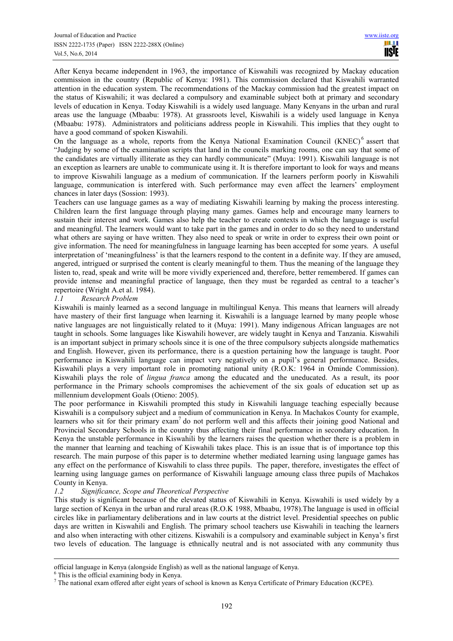After Kenya became independent in 1963, the importance of Kiswahili was recognized by Mackay education commission in the country (Republic of Kenya: 1981). This commission declared that Kiswahili warranted attention in the education system. The recommendations of the Mackay commission had the greatest impact on the status of Kiswahili; it was declared a compulsory and examinable subject both at primary and secondary levels of education in Kenya. Today Kiswahili is a widely used language. Many Kenyans in the urban and rural areas use the language (Mbaabu: 1978). At grassroots level, Kiswahili is a widely used language in Kenya (Mbaabu: 1978). Administrators and politicians address people in Kiswahili. This implies that they ought to have a good command of spoken Kiswahili.

On the language as a whole, reports from the Kenya National Examination Council (KNEC)<sup>6</sup> assert that "Judging by some of the examination scripts that land in the councils marking rooms, one can say that some of the candidates are virtually illiterate as they can hardly communicate" (Muya: 1991). Kiswahili language is not an exception as learners are unable to communicate using it. It is therefore important to look for ways and means to improve Kiswahili language as a medium of communication. If the learners perform poorly in Kiswahili language, communication is interfered with. Such performance may even affect the learners' employment chances in later days (Sossion: 1993).

Teachers can use language games as a way of mediating Kiswahili learning by making the process interesting. Children learn the first language through playing many games. Games help and encourage many learners to sustain their interest and work. Games also help the teacher to create contexts in which the language is useful and meaningful. The learners would want to take part in the games and in order to do so they need to understand what others are saying or have written. They also need to speak or write in order to express their own point or give information. The need for meaningfulness in language learning has been accepted for some years. A useful interpretation of 'meaningfulness' is that the learners respond to the content in a definite way. If they are amused, angered, intrigued or surprised the content is clearly meaningful to them. Thus the meaning of the language they listen to, read, speak and write will be more vividly experienced and, therefore, better remembered. If games can provide intense and meaningful practice of language, then they must be regarded as central to a teacher's repertoire (Wright A.et al. 1984).

# *1.1 Research Problem*

Kiswahili is mainly learned as a second language in multilingual Kenya. This means that learners will already have mastery of their first language when learning it. Kiswahili is a language learned by many people whose native languages are not linguistically related to it (Muya: 1991). Many indigenous African languages are not taught in schools. Some languages like Kiswahili however, are widely taught in Kenya and Tanzania. Kiswahili is an important subject in primary schools since it is one of the three compulsory subjects alongside mathematics and English. However, given its performance, there is a question pertaining how the language is taught. Poor performance in Kiswahili language can impact very negatively on a pupil's general performance. Besides, Kiswahili plays a very important role in promoting national unity (R.O.K: 1964 in Ominde Commission). Kiswahili plays the role of *lingua franca* among the educated and the uneducated. As a result, its poor performance in the Primary schools compromises the achievement of the six goals of education set up as millennium development Goals (Otieno: 2005).

The poor performance in Kiswahili prompted this study in Kiswahili language teaching especially because Kiswahili is a compulsory subject and a medium of communication in Kenya. In Machakos County for example, learners who sit for their primary exam<sup>7</sup> do not perform well and this affects their joining good National and Provincial Secondary Schools in the country thus affecting their final performance in secondary education. In Kenya the unstable performance in Kiswahili by the learners raises the question whether there is a problem in the manner that learning and teaching of Kiswahili takes place. This is an issue that is of importance top this research. The main purpose of this paper is to determine whether mediated learning using language games has any effect on the performance of Kiswahili to class three pupils. The paper, therefore, investigates the effect of learning using language games on performance of Kiswahili language amoung class three pupils of Machakos County in Kenya.

# *1.2 Significance, Scope and Theoretical Perspective*

This study is significant because of the elevated status of Kiswahili in Kenya. Kiswahili is used widely by a large section of Kenya in the urban and rural areas (R.O.K 1988, Mbaabu, 1978).The language is used in official circles like in parliamentary deliberations and in law courts at the district level. Presidential speeches on public days are written in Kiswahili and English. The primary school teachers use Kiswahili in teaching the learners and also when interacting with other citizens. Kiswahili is a compulsory and examinable subject in Kenya's first two levels of education. The language is ethnically neutral and is not associated with any community thus

 $\overline{a}$ 

official language in Kenya (alongside English) as well as the national language of Kenya.

<sup>6</sup> This is the official examining body in Kenya.

<sup>&</sup>lt;sup>7</sup> The national exam offered after eight years of school is known as Kenya Certificate of Primary Education (KCPE).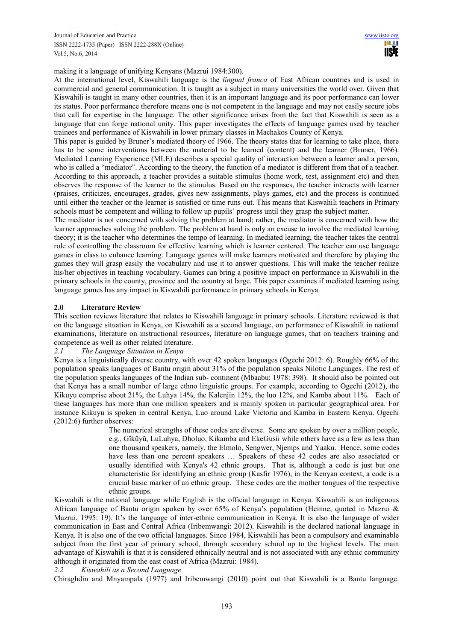making it a language of unifying Kenyans (Mazrui 1984:300).

At the international level, Kiswahili language is the *lingual franca* of East African countries and is used in commercial and general communication. It is taught as a subject in many universities the world over. Given that Kiswahili is taught in many other countries, then it is an important language and its poor performance can lower its status. Poor performance therefore means one is not competent in the language and may not easily secure jobs that call for expertise in the language. The other significance arises from the fact that Kiswahili is seen as a language that can forge national unity. This paper investigates the effects of language games used by teacher trainees and performance of Kiswahili in lower primary classes in Machakos County of Kenya.

This paper is guided by Bruner's mediated theory of 1966. The theory states that for learning to take place, there has to be some interventions between the material to be learned (content) and the learner (Bruner, 1966). Mediated Learning Experience (MLE) describes a special quality of interaction between a learner and a person, who is called a "mediator". According to the theory, the function of a mediator is different from that of a teacher. According to this approach, a teacher provides a suitable stimulus (home work, test, assignment etc) and then observes the response of the learner to the stimulus. Based on the responses, the teacher interacts with learner (praises, criticizes, encourages, grades, gives new assignments, plays games, etc) and the process is continued until either the teacher or the learner is satisfied or time runs out. This means that Kiswahili teachers in Primary schools must be competent and willing to follow up pupils' progress until they grasp the subject matter.

The mediator is not concerned with solving the problem at hand; rather, the mediator is concerned with how the learner approaches solving the problem. The problem at hand is only an excuse to involve the mediated learning theory; it is the teacher who determines the tempo of learning. In mediated learning, the teacher takes the central role of controlling the classroom for effective learning which is learner centered. The teacher can use language games in class to enhance learning. Language games will make learners motivated and therefore by playing the games they will grasp easily the vocabulary and use it to answer questions. This will make the teacher realize his/her objectives in teaching vocabulary. Games can bring a positive impact on performance in Kiswahili in the primary schools in the county, province and the country at large. This paper examines if mediated learning using language games has any impact in Kiswahili performance in primary schools in Kenya.

# **2.0 Literature Review**

This section reviews literature that relates to Kiswahili language in primary schools. Literature reviewed is that on the language situation in Kenya, on Kiswahili as a second language, on performance of Kiswahili in national examinations, literature on instructional resources, literature on language games, that on teachers training and competence as well as other related literature.

# *2.1 The Language Situation in Kenya*

Kenya is a linguistically diverse country, with over 42 spoken languages (Ogechi 2012: 6). Roughly 66% of the population speaks languages of Bantu origin about 31% of the population speaks Nilotic Languages. The rest of the population speaks languages of the Indian sub- continent (Mbaabu: 1978: 398). It should also be pointed out that Kenya has a small number of large ethno linguistic groups. For example, according to Ogechi (2012), the Kikuyu comprise about 21%, the Luhya 14%, the Kalenjin 12%, the luo 12%, and Kamba about 11%. Each of these languages has more than one million speakers and is mainly spoken in particular geographical area. For instance Kikuyu is spoken in central Kenya, Luo around Lake Victoria and Kamba in Eastern Kenya. Ogechi (2012:6) further observes:

> The numerical strengths of these codes are diverse. Some are spoken by over a million people, e.g., Gĭkŭyŭ, LuLuhya, Dholuo, Kikamba and EkeGusii while others have as a few as less than one thousand speakers, namely, the Elmolo, Sengwer, Njemps and Yaaku. Hence, some codes have less than one percent speakers … Speakers of these 42 codes are also associated or usually identified with Kenya's 42 ethnic groups. That is, although a code is just but one characteristic for identifying an ethnic group (Kasfir 1976), in the Kenyan context, a code is a crucial basic marker of an ethnic group. These codes are the mother tongues of the respective ethnic groups.

Kiswahili is the national language while English is the official language in Kenya. Kiswahili is an indigenous African language of Bantu origin spoken by over 65% of Kenya's population (Heinne, quoted in Mazrui & Mazrui, 1995: 19). It's the language of inter-ethnic communication in Kenya. It is also the language of wider communication in East and Central Africa (Iribemwangi: 2012). Kiswahili is the declared national language in Kenya. It is also one of the two official languages. Since 1984, Kiswahili has been a compulsory and examinable subject from the first year of primary school, through secondary school up to the highest levels. The main advantage of Kiswahili is that it is considered ethnically neutral and is not associated with any ethnic community although it originated from the east coast of Africa (Mazrui: 1984).

# *2.2 Kiswahili as a Second Language*

Chiraghdin and Mnyampala (1977) and Iribemwangi (2010) point out that Kiswahili is a Bantu language.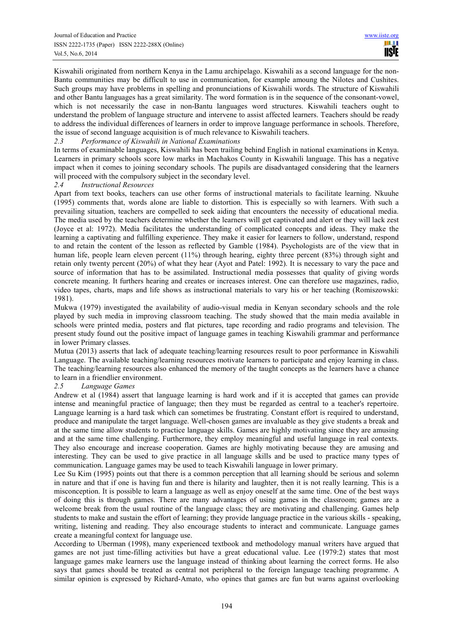Kiswahili originated from northern Kenya in the Lamu archipelago. Kiswahili as a second language for the non-Bantu communities may be difficult to use in communication, for example amoung the Nilotes and Cushites. Such groups may have problems in spelling and pronunciations of Kiswahili words. The structure of Kiswahili and other Bantu languages has a great similarity. The word formation is in the sequence of the consonant-vowel, which is not necessarily the case in non-Bantu languages word structures. Kiswahili teachers ought to understand the problem of language structure and intervene to assist affected learners. Teachers should be ready to address the individual differences of learners in order to improve language performance in schools. Therefore, the issue of second language acquisition is of much relevance to Kiswahili teachers.

## *2.3 Performance of Kiswahili in National Examinations*

In terms of examinable languages, Kiswahili has been trailing behind English in national examinations in Kenya. Learners in primary schools score low marks in Machakos County in Kiswahili language. This has a negative impact when it comes to joining secondary schools. The pupils are disadvantaged considering that the learners will proceed with the compulsory subject in the secondary level.

## *2.4 Instructional Resources*

Apart from text books, teachers can use other forms of instructional materials to facilitate learning. Nkuuhe (1995) comments that, words alone are liable to distortion. This is especially so with learners. With such a prevailing situation, teachers are compelled to seek aiding that encounters the necessity of educational media. The media used by the teachers determine whether the learners will get captivated and alert or they will lack zest (Joyce et al: 1972). Media facilitates the understanding of complicated concepts and ideas. They make the learning a captivating and fulfilling experience. They make it easier for learners to follow, understand, respond to and retain the content of the lesson as reflected by Gamble (1984). Psychologists are of the view that in human life, people learn eleven percent (11%) through hearing, eighty three percent (83%) through sight and retain only twenty percent (20%) of what they hear (Ayot and Patel: 1992). It is necessary to vary the pace and source of information that has to be assimilated. Instructional media possesses that quality of giving words concrete meaning. It furthers hearing and creates or increases interest. One can therefore use magazines, radio, video tapes, charts, maps and life shows as instructional materials to vary his or her teaching (Romiszowski: 1981).

Mukwa (1979) investigated the availability of audio-visual media in Kenyan secondary schools and the role played by such media in improving classroom teaching. The study showed that the main media available in schools were printed media, posters and flat pictures, tape recording and radio programs and television. The present study found out the positive impact of language games in teaching Kiswahili grammar and performance in lower Primary classes.

Mutua (2013) asserts that lack of adequate teaching/learning resources result to poor performance in Kiswahili Language. The available teaching/learning resources motivate learners to participate and enjoy learning in class. The teaching/learning resources also enhanced the memory of the taught concepts as the learners have a chance to learn in a friendlier environment.

## *2.5 Language Games*

Andrew et al (1984) assert that language learning is hard work and if it is accepted that games can provide intense and meaningful practice of language; then they must be regarded as central to a teacher's repertoire. Language learning is a hard task which can sometimes be frustrating. Constant effort is required to understand, produce and manipulate the target language. Well-chosen games are invaluable as they give students a break and at the same time allow students to practice language skills. Games are highly motivating since they are amusing and at the same time challenging. Furthermore, they employ meaningful and useful language in real contexts. They also encourage and increase cooperation. Games are highly motivating because they are amusing and interesting. They can be used to give practice in all language skills and be used to practice many types of communication. Language games may be used to teach Kiswahili language in lower primary.

Lee Su Kim (1995) points out that there is a common perception that all learning should be serious and solemn in nature and that if one is having fun and there is hilarity and laughter, then it is not really learning. This is a misconception. It is possible to learn a language as well as enjoy oneself at the same time. One of the best ways of doing this is through games. There are many advantages of using games in the classroom; games are a welcome break from the usual routine of the language class; they are motivating and challenging. Games help students to make and sustain the effort of learning; they provide language practice in the various skills - speaking, writing, listening and reading. They also encourage students to interact and communicate. Language games create a meaningful context for language use.

According to Uberman (1998), many experienced textbook and methodology manual writers have argued that games are not just time-filling activities but have a great educational value. Lee (1979:2) states that most language games make learners use the language instead of thinking about learning the correct forms. He also says that games should be treated as central not peripheral to the foreign language teaching programme. A similar opinion is expressed by Richard-Amato, who opines that games are fun but warns against overlooking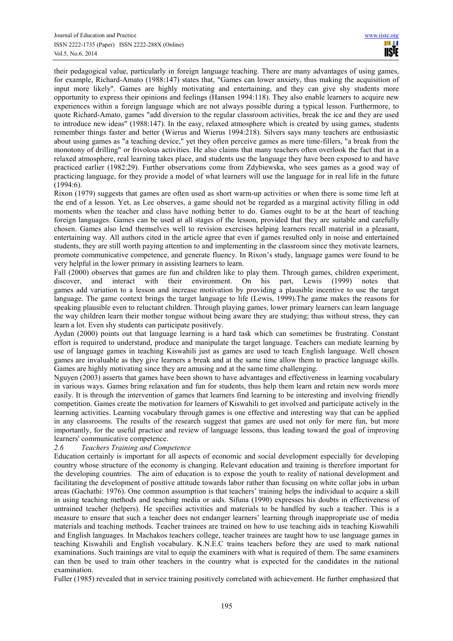their pedagogical value, particularly in foreign language teaching. There are many advantages of using games, for example, Richard-Amato (1988:147) states that, "Games can lower anxiety, thus making the acquisition of input more likely". Games are highly motivating and entertaining, and they can give shy students more opportunity to express their opinions and feelings (Hansen 1994:118). They also enable learners to acquire new experiences within a foreign language which are not always possible during a typical lesson. Furthermore, to quote Richard-Amato, games "add diversion to the regular classroom activities, break the ice and they are used to introduce new ideas" (1988:147). In the easy, relaxed atmosphere which is created by using games, students remember things faster and better (Wierus and Wierus 1994:218). Silvers says many teachers are enthusiastic about using games as "a teaching device," yet they often perceive games as mere time-fillers, "a break from the monotony of drilling" or frivolous activities. He also claims that many teachers often overlook the fact that in a relaxed atmosphere, real learning takes place, and students use the language they have been exposed to and have practiced earlier (1982:29). Further observations come from Zdybiewska, who sees games as a good way of practicing language, for they provide a model of what learners will use the language for in real life in the future (1994:6).

Rixon (1979) suggests that games are often used as short warm-up activities or when there is some time left at the end of a lesson. Yet, as Lee observes, a game should not be regarded as a marginal activity filling in odd moments when the teacher and class have nothing better to do. Games ought to be at the heart of teaching foreign languages. Games can be used at all stages of the lesson, provided that they are suitable and carefully chosen. Games also lend themselves well to revision exercises helping learners recall material in a pleasant, entertaining way. All authors cited in the article agree that even if games resulted only in noise and entertained students, they are still worth paying attention to and implementing in the classroom since they motivate learners, promote communicative competence, and generate fluency. In Rixon's study, language games were found to be very helpful in the lower primary in assisting learners to learn.

Fall (2000) observes that games are fun and children like to play them. Through games, children experiment, discover, and interact with their environment. On his part, Lewis (1999) notes that games add variation to a lesson and increase motivation by providing a plausible incentive to use the target language. The game context brings the target language to life (Lewis, 1999).The game makes the reasons for speaking plausible even to reluctant children. Through playing games, lower primary learners can learn language the way children learn their mother tongue without being aware they are studying; thus without stress, they can learn a lot. Even shy students can participate positively.

Aydan (2000) points out that language learning is a hard task which can sometimes be frustrating. Constant effort is required to understand, produce and manipulate the target language. Teachers can mediate learning by use of language games in teaching Kiswahili just as games are used to teach English language. Well chosen games are invaluable as they give learners a break and at the same time allow them to practice language skills. Games are highly motivating since they are amusing and at the same time challenging.

Nguyen (2003) asserts that games have been shown to have advantages and effectiveness in learning vocabulary in various ways. Games bring relaxation and fun for students, thus help them learn and retain new words more easily. It is through the intervention of games that learners find learning to be interesting and involving friendly competition. Games create the motivation for learners of Kiswahili to get involved and participate actively in the learning activities. Learning vocabulary through games is one effective and interesting way that can be applied in any classrooms. The results of the research suggest that games are used not only for mere fun, but more importantly, for the useful practice and review of language lessons, thus leading toward the goal of improving learners' communicative competence.<br>26 Teachers Training and Comp

## *2.6 Teachers Training and Competence*

Education certainly is important for all aspects of economic and social development especially for developing country whose structure of the economy is changing. Relevant education and training is therefore important for the developing countries. The aim of education is to expose the youth to reality of national development and facilitating the development of positive attitude towards labor rather than focusing on white collar jobs in urban areas (Gachathi: 1976). One common assumption is that teachers' training helps the individual to acquire a skill in using teaching methods and teaching media or aids. Sifuna (1990) expresses his doubts in effectiveness of untrained teacher (helpers). He specifies activities and materials to be handled by such a teacher. This is a measure to ensure that such a teacher does not endanger learners' learning through inappropriate use of media materials and teaching methods. Teacher trainees are trained on how to use teaching aids in teaching Kiswahili and English languages. In Machakos teachers college, teacher trainees are taught how to use language games in teaching Kiswahili and English vocabulary. K.N.E.C trains teachers before they are used to mark national examinations. Such trainings are vital to equip the examiners with what is required of them. The same examiners can then be used to train other teachers in the country what is expected for the candidates in the national examination.

Fuller (1985) revealed that in service training positively correlated with achievement. He further emphasized that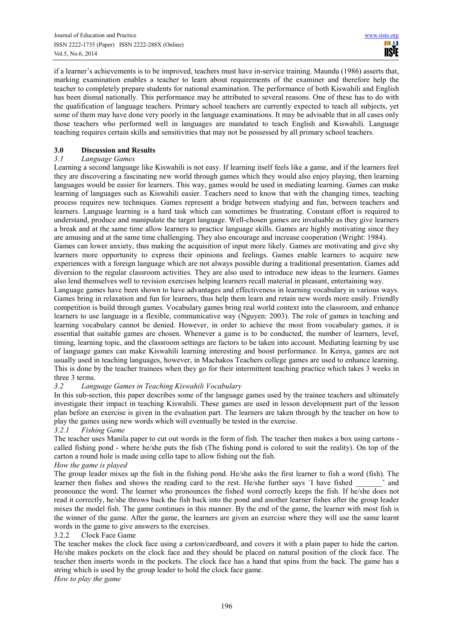if a learner's achievements is to be improved, teachers must have in-service training. Maundu (1986) asserts that, marking examination enables a teacher to learn about requirements of the examiner and therefore help the teacher to completely prepare students for national examination. The performance of both Kiswahili and English has been dismal nationally. This performance may be attributed to several reasons. One of these has to do with the qualification of language teachers. Primary school teachers are currently expected to teach all subjects, yet some of them may have done very poorly in the language examinations. It may be advisable that in all cases only those teachers who performed well in languages are mandated to teach English and Kiswahili. Language teaching requires certain skills and sensitivities that may not be possessed by all primary school teachers.

# **3.0 Discussion and Results**

# *3.1 Language Games*

Learning a second language like Kiswahili is not easy. If learning itself feels like a game, and if the learners feel they are discovering a fascinating new world through games which they would also enjoy playing, then learning languages would be easier for learners. This way, games would be used in mediating learning. Games can make learning of languages such as Kiswahili easier. Teachers need to know that with the changing times, teaching process requires new techniques. Games represent a bridge between studying and fun, between teachers and learners. Language learning is a hard task which can sometimes be frustrating. Constant effort is required to understand, produce and manipulate the target language. Well-chosen games are invaluable as they give learners a break and at the same time allow learners to practice language skills. Games are highly motivating since they are amusing and at the same time challenging. They also encourage and increase cooperation (Wright: 1984).

Games can lower anxiety, thus making the acquisition of input more likely. Games are motivating and give shy learners more opportunity to express their opinions and feelings. Games enable learners to acquire new experiences with a foreign language which are not always possible during a traditional presentation. Games add diversion to the regular classroom activities. They are also used to introduce new ideas to the learners. Games also lend themselves well to revision exercises helping learners recall material in pleasant, entertaining way.

Language games have been shown to have advantages and effectiveness in learning vocabulary in various ways. Games bring in relaxation and fun for learners, thus help them learn and retain new words more easily. Friendly competition is build through games. Vocabulary games bring real world context into the classroom, and enhance learners to use language in a flexible, communicative way (Nguyen: 2003). The role of games in teaching and learning vocabulary cannot be denied. However, in order to achieve the most from vocabulary games, it is essential that suitable games are chosen. Whenever a game is to be conducted, the number of learners, level, timing, learning topic, and the classroom settings are factors to be taken into account. Mediating learning by use of language games can make Kiswahili learning interesting and boost performance. In Kenya, games are not usually used in teaching languages, however, in Machakos Teachers college games are used to enhance learning. This is done by the teacher trainees when they go for their intermittent teaching practice which takes 3 weeks in three 3 terms.

# *3.2 Language Games in Teaching Kiswahili Vocabulary*

In this sub-section, this paper describes some of the language games used by the trainee teachers and ultimately investigate their impact in teaching Kiswahili. These games are used in lesson development part of the lesson plan before an exercise is given in the evaluation part. The learners are taken through by the teacher on how to play the games using new words which will eventually be tested in the exercise.

# *3.2.1 Fishing Game*

The teacher uses Manila paper to cut out words in the form of fish. The teacher then makes a box using cartons called fishing pond - where he/she puts the fish (The fishing pond is colored to suit the reality). On top of the carton a round hole is made using cello tape to allow fishing out the fish.

# *How the game is played*

The group leader mixes up the fish in the fishing pond. He/she asks the first learner to fish a word (fish). The learner then fishes and shows the reading card to the rest. He/she further says `I have fished  $\cdot$  and pronounce the word. The learner who pronounces the fished word correctly keeps the fish. If he/she does not read it correctly, he/she throws back the fish back into the pond and another learner fishes after the group leader mixes the model fish. The game continues in this manner. By the end of the game, the learner with most fish is the winner of the game. After the game, the learners are given an exercise where they will use the same learnt words in the game to give answers to the exercises.

# 3.2.2 Clock Face Game

The teacher makes the clock face using a carton/cardboard, and covers it with a plain paper to hide the carton. He/she makes pockets on the clock face and they should be placed on natural position of the clock face. The teacher then inserts words in the pockets. The clock face has a hand that spins from the back. The game has a string which is used by the group leader to hold the clock face game.

*How to play the game*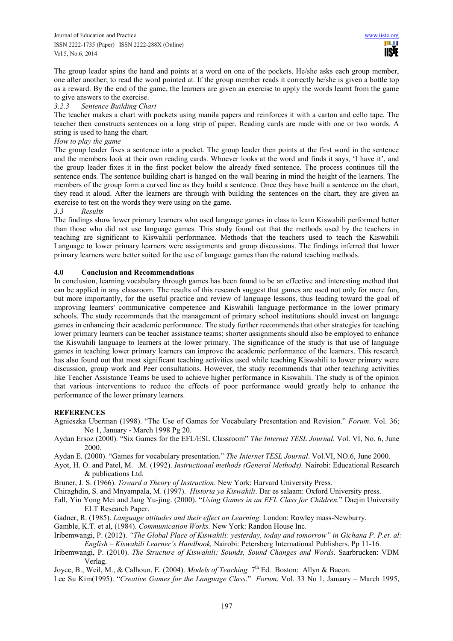The group leader spins the hand and points at a word on one of the pockets. He/she asks each group member, one after another; to read the word pointed at. If the group member reads it correctly he/she is given a bottle top as a reward. By the end of the game, the learners are given an exercise to apply the words learnt from the game to give answers to the exercise.<br>3.2.3 Sentence Building Cha

## *3.2.3 Sentence Building Chart*

The teacher makes a chart with pockets using manila papers and reinforces it with a carton and cello tape. The teacher then constructs sentences on a long strip of paper. Reading cards are made with one or two words. A string is used to hang the chart.

# *How to play the game*

The group leader fixes a sentence into a pocket. The group leader then points at the first word in the sentence and the members look at their own reading cards. Whoever looks at the word and finds it says, 'I have it', and the group leader fixes it in the first pocket below the already fixed sentence. The process continues till the sentence ends. The sentence building chart is hanged on the wall bearing in mind the height of the learners. The members of the group form a curved line as they build a sentence. Once they have built a sentence on the chart, they read it aloud. After the learners are through with building the sentences on the chart, they are given an exercise to test on the words they were using on the game.

## *3.3 Results*

The findings show lower primary learners who used language games in class to learn Kiswahili performed better than those who did not use language games. This study found out that the methods used by the teachers in teaching are significant to Kiswahili performance. Methods that the teachers used to teach the Kiswahili Language to lower primary learners were assignments and group discussions. The findings inferred that lower primary learners were better suited for the use of language games than the natural teaching methods.

## **4.0 Conclusion and Recommendations**

In conclusion, learning vocabulary through games has been found to be an effective and interesting method that can be applied in any classroom. The results of this research suggest that games are used not only for mere fun, but more importantly, for the useful practice and review of language lessons, thus leading toward the goal of improving learners' communicative competence and Kiswahili language performance in the lower primary schools. The study recommends that the management of primary school institutions should invest on language games in enhancing their academic performance. The study further recommends that other strategies for teaching lower primary learners can be teacher assistance teams; shorter assignments should also be employed to enhance the Kiswahili language to learners at the lower primary. The significance of the study is that use of language games in teaching lower primary learners can improve the academic performance of the learners. This research has also found out that most significant teaching activities used while teaching Kiswahili to lower primary were discussion, group work and Peer consultations. However, the study recommends that other teaching activities like Teacher Assistance Teams be used to achieve higher performance in Kiswahili. The study is of the opinion that various interventions to reduce the effects of poor performance would greatly help to enhance the performance of the lower primary learners.

## **REFERENCES**

- Agnieszka Uberman (1998). "The Use of Games for Vocabulary Presentation and Revision." *Forum*. Vol. 36; No 1, January - March 1998 Pg 20.
- Aydan Ersoz (2000). "Six Games for the EFL/ESL Classroom" *The Internet TESL Journal*. Vol. VI, No. 6, June 2000.
- Aydan E. (2000). "Games for vocabulary presentation." *The Internet TESL Journal*. Vol.VI, NO.6, June 2000.
- Ayot, H. O. and Patel, M. .M. (1992). *Instructional methods (General Methods).* Nairobi: Educational Research & publications Ltd.
- Bruner, J. S. (1966). *Toward a Theory of Instruction*. New York: Harvard University Press.
- Chiraghdin, S. and Mnyampala, M. (1997). *Historia ya Kiswahili*. Dar es salaam: Oxford University press.
- Fall, Yin Yong Mei and Jang Yu-jing. (2000). "*Using Games in an EFL Class for Children.*" Daejin University ELT Research Paper.
- Gadner, R. (1985). *Language attitudes and their effect on Learning*. London: Rowley mass-Newburry.
- Gamble, K.T. et al, (1984). *Communication Works.* New York: Randon House Inc.
- Iribemwangi, P. (2012). *"The Global Place of Kiswahili: yesterday, today and tomorrow" in Gichana P. P.et. al: English – Kiswahili Learner's Handbook,* Nairobi: Petersberg International Publishers. Pp 11-16.
- Iribemwangi, P. (2010). *The Structure of Kiswahili: Sounds, Sound Changes and Words*. Saarbrucken: VDM Verlag.
- Joyce, B., Weil, M., & Calhoun, E. (2004). *Models of Teaching*. 7<sup>th</sup> Ed. Boston: Allyn & Bacon.
- Lee Su Kim(1995). "*Creative Games for the Language Class*." *Forum*. Vol. 33 No 1, January March 1995,